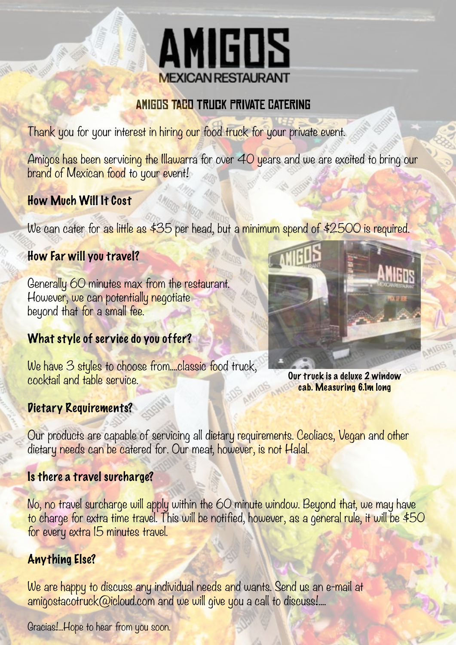

#### Amigos Taco Truck Private Catering

Thank you for your interest in hiring our food truck for your private event.

Amigos has been servicing the Illawarra for over 40 years and we are excited to bring our brand of Mexican food to your event!

#### How Much Will It Cost

We can cater for as little as \$35 per head, but a minimum spend of \$2500 is required.

#### How Far will you travel?

Generally 60 minutes max from the restaurant. However, we can potentially negotiate beyond that for a small fee.

#### What style of service do you offer?

We have 3 styles to choose from....classic food truck, cocktail and table service.



Our truck is a deluxe 2 window cab. Measuring 6.1m long

#### Dietary Requirements?

Our products are capable of servicing all dietary requirements. Ceoliacs, Vegan and other dietary needs can be catered for. Our meat, however, is not Halal.

#### Is there a travel surcharge?

No, no travel surcharge will apply within the 60 minute window. Beyond that, we may have to charge for extra time travel. This will be notified, however, as a general rule, it will be \$50 for every extra 15 minutes travel.

#### Anything Else?

We are happy to discuss any individual needs and wants. Send us an e-mail at amigostacotruck@icloud.com and we will give you a call to discuss!....

Gracias!... Hope to hear from you soon.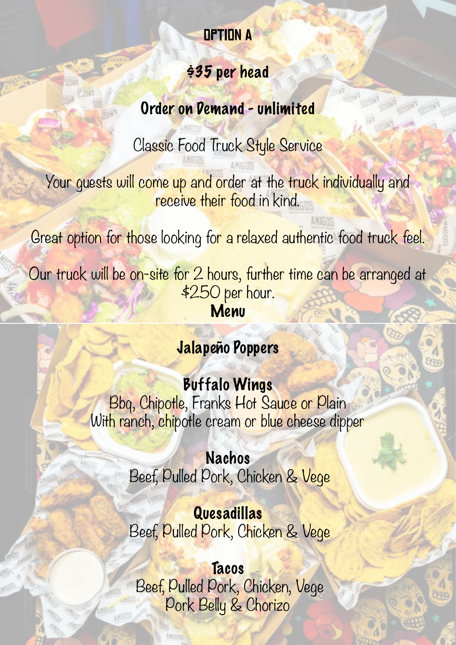## Option A

#### \$35 per head

## Order on Demand - unlimited

Classic Food Truck Style Service

Your guests will come up and order at the truck individually and receive their food in kind.

Great option for those looking for a relaxed authentic food truck feel.

Our truck will be on-site for 2 hours, further time can be arranged at \$250 per hour. Menu

# Jalapeño Poppers

# Buffalo Wings

Bbq, Chipotle, Franks Hot Sauce or Plain With ranch, chipotle cream or blue cheese dipper

> Nachos Beef, Pulled Pork, Chicken & Vege

> Quesadillas Beef, Pulled Pork, Chicken & Vege

**Tacos**  Beef, Pulled Pork, Chicken, Vege Pork Belly & Chorizo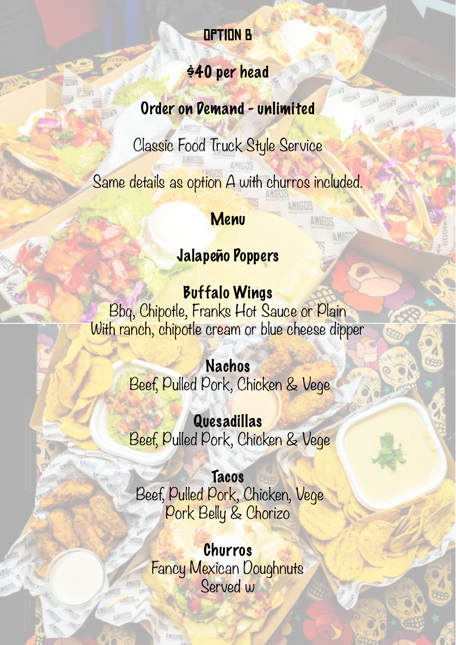## Option B

#### \$40 per head

Order on Demand - unlimited

Classic Food Truck Style Service

Same details as option A with churros included.

#### Menu

## Jalapeño Poppers

Buffalo Wings Bbq, Chipotle, Franks Hot Sauce or Plain With ranch, chipotle cream or blue cheese dipper

> Nachos Beef, Pulled Pork, Chicken & Vege

> Quesadillas Beef, Pulled Pork, Chicken & Vege

**Tacos**  Beef, Pulled Pork, Chicken, Vege Pork Belly & Chorizo

Churros Fancy Mexican Doughnuts Served w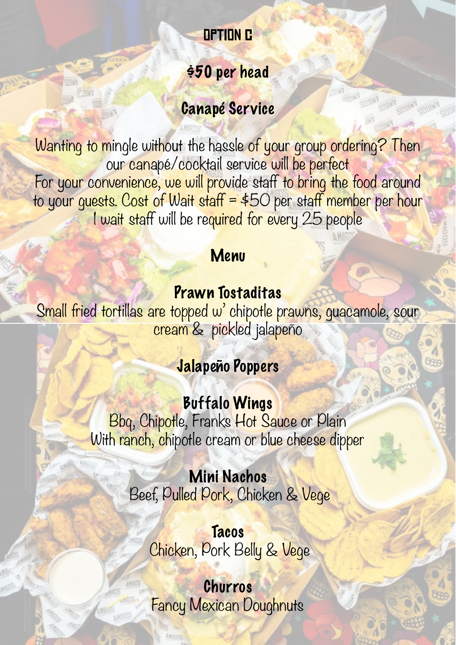## Option c

## \$50 per head

## Canapé Service

Wanting to mingle without the hassle of your group ordering? Then our canapé/cocktail service will be perfect For your convenience, we will provide staff to bring the food around to your guests. Cost of Wait staff =  $$50$  per staff member per hour I wait staff will be required for every 25 people

# Menu

#### Prawn Tostaditas

Small fried tortillas are topped w' chipotle prawns, guacamole, sour cream & pickled jalapeño

# Jalapeño Poppers

Buffalo Wings Bbq, Chipotle, Franks Hot Sauce or Plain With ranch, chipotle cream or blue cheese dipper

> Mini Nachos Beef, Pulled Pork, Chicken & Vege

> > **Tacos** Chicken, Pork Belly & Vege

Churros Fancy Mexican Doughnuts